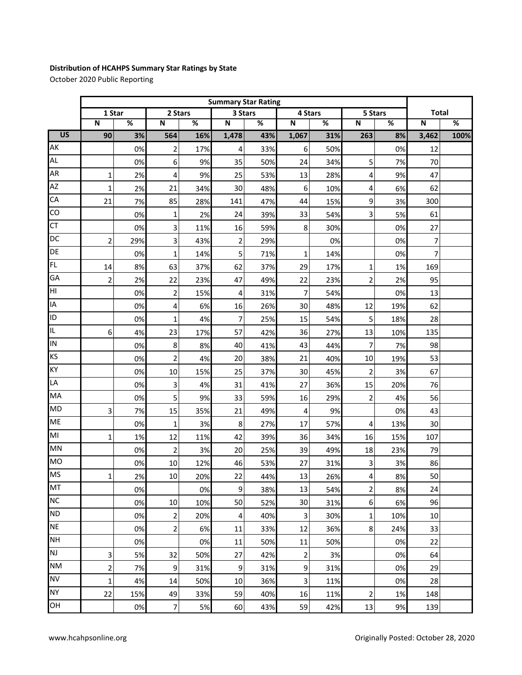## **Distribution of HCAHPS Summary Star Ratings by State**

October 2020 Public Reporting

|                 | <b>Summary Star Rating</b> |                          |                  |      |                |     |                         |     |                |     |              |      |
|-----------------|----------------------------|--------------------------|------------------|------|----------------|-----|-------------------------|-----|----------------|-----|--------------|------|
|                 | 1 Star                     |                          | 2 Stars          |      | 3 Stars        |     | 4 Stars                 |     | 5 Stars        |     | <b>Total</b> |      |
|                 | ${\bf N}$                  | $\overline{\mathcal{C}}$ | $\mathbf N$      | $\%$ | $\mathsf N$    | %   | $\mathbf N$             | %   | ${\sf N}$      | %   | N            | $\%$ |
| $\overline{US}$ | 90                         | 3%                       | 564              | 16%  | 1,478          | 43% | 1,067                   | 31% | 263            | 8%  | 3,462        | 100% |
| AK              |                            | 0%                       | $\overline{2}$   | 17%  | 4              | 33% | 6                       | 50% |                | 0%  | 12           |      |
| <b>AL</b>       |                            | 0%                       | 6                | 9%   | 35             | 50% | 24                      | 34% | 5              | 7%  | 70           |      |
| AR              | $\mathbf 1$                | 2%                       | 4                | 9%   | 25             | 53% | 13                      | 28% | 4              | 9%  | 47           |      |
| AZ              | $\mathbf{1}$               | 2%                       | 21               | 34%  | 30             | 48% | 6                       | 10% | 4              | 6%  | 62           |      |
| CA              | 21                         | 7%                       | 85               | 28%  | 141            | 47% | 44                      | 15% | 9              | 3%  | 300          |      |
| CO              |                            | 0%                       | 1                | 2%   | 24             | 39% | 33                      | 54% | 3              | 5%  | 61           |      |
| CT              |                            | 0%                       | 3                | 11%  | 16             | 59% | 8                       | 30% |                | 0%  | 27           |      |
| DC              | $\overline{2}$             | 29%                      | 3                | 43%  | $\overline{2}$ | 29% |                         | 0%  |                | 0%  | 7            |      |
| DE              |                            | 0%                       | $\mathbf 1$      | 14%  | 5              | 71% | 1                       | 14% |                | 0%  | 7            |      |
| FL.             | 14                         | 8%                       | 63               | 37%  | 62             | 37% | 29                      | 17% | 1              | 1%  | 169          |      |
| GA              | $\overline{2}$             | 2%                       | 22               | 23%  | 47             | 49% | 22                      | 23% | 2              | 2%  | 95           |      |
| HI              |                            | 0%                       | $\mathbf 2$      | 15%  | 4              | 31% | $\overline{7}$          | 54% |                | 0%  | 13           |      |
| IA              |                            | 0%                       | 4                | 6%   | 16             | 26% | 30                      | 48% | 12             | 19% | 62           |      |
| ID              |                            | 0%                       | 1                | 4%   | 7              | 25% | 15                      | 54% | 5              | 18% | 28           |      |
| IL.             | 6                          | 4%                       | 23               | 17%  | 57             | 42% | 36                      | 27% | 13             | 10% | 135          |      |
| IN              |                            | 0%                       | 8                | 8%   | 40             | 41% | 43                      | 44% | $\overline{7}$ | 7%  | 98           |      |
| KS              |                            | 0%                       | 2                | 4%   | 20             | 38% | 21                      | 40% | 10             | 19% | 53           |      |
| KY              |                            | 0%                       | 10               | 15%  | 25             | 37% | 30                      | 45% | $\overline{c}$ | 3%  | 67           |      |
| LA              |                            | 0%                       | 3                | 4%   | 31             | 41% | 27                      | 36% | 15             | 20% | 76           |      |
| MA              |                            | 0%                       | 5                | 9%   | 33             | 59% | 16                      | 29% | $\overline{c}$ | 4%  | 56           |      |
| <b>MD</b>       | 3                          | 7%                       | 15               | 35%  | 21             | 49% | 4                       | 9%  |                | 0%  | 43           |      |
| ME              |                            | 0%                       | 1                | 3%   | 8              | 27% | 17                      | 57% | 4              | 13% | 30           |      |
| MI              | $\mathbf{1}$               | 1%                       | 12               | 11%  | 42             | 39% | 36                      | 34% | 16             | 15% | 107          |      |
| MN              |                            | 0%                       | 2                | 3%   | 20             | 25% | 39                      | 49% | 18             | 23% | 79           |      |
| <b>MO</b>       |                            | 0%                       | 10               | 12%  | 46             | 53% | 27                      | 31% | 3              | 3%  | 86           |      |
| <b>MS</b>       | 1                          | 2%                       | 10               | 20%  | 22             | 44% | 13                      | 26% | 4              | 8%  | 50           |      |
| MT              |                            | 0%                       |                  | 0%   | 9              | 38% | 13                      | 54% | 2              | 8%  | 24           |      |
| <b>NC</b>       |                            | 0%                       | 10               | 10%  | 50             | 52% | 30                      | 31% | 6              | 6%  | 96           |      |
| <b>ND</b>       |                            | 0%                       | 2                | 20%  | 4              | 40% | $\overline{\mathbf{3}}$ | 30% | $\mathbf 1$    | 10% | 10           |      |
| <b>NE</b>       |                            | 0%                       | $\overline{2}$   | 6%   | 11             | 33% | 12                      | 36% | 8              | 24% | 33           |      |
| <b>NH</b>       |                            | 0%                       |                  | 0%   | 11             | 50% | 11                      | 50% |                | 0%  | 22           |      |
| <b>NJ</b>       | 3                          | 5%                       | 32               | 50%  | 27             | 42% | $\overline{2}$          | 3%  |                | 0%  | 64           |      |
| <b>NM</b>       | $\overline{\mathbf{c}}$    | 7%                       | $\boldsymbol{9}$ | 31%  | 9              | 31% | $\boldsymbol{9}$        | 31% |                | 0%  | 29           |      |
| <b>NV</b>       | 1                          | 4%                       | 14               | 50%  | 10             | 36% | 3                       | 11% |                | 0%  | 28           |      |
| <b>NY</b>       | 22                         | 15%                      | 49               | 33%  | 59             | 40% | 16                      | 11% | $\overline{c}$ | 1%  | 148          |      |
| OH              |                            | 0%                       | 7                | 5%   | 60             | 43% | 59                      | 42% | 13             | 9%  | 139          |      |